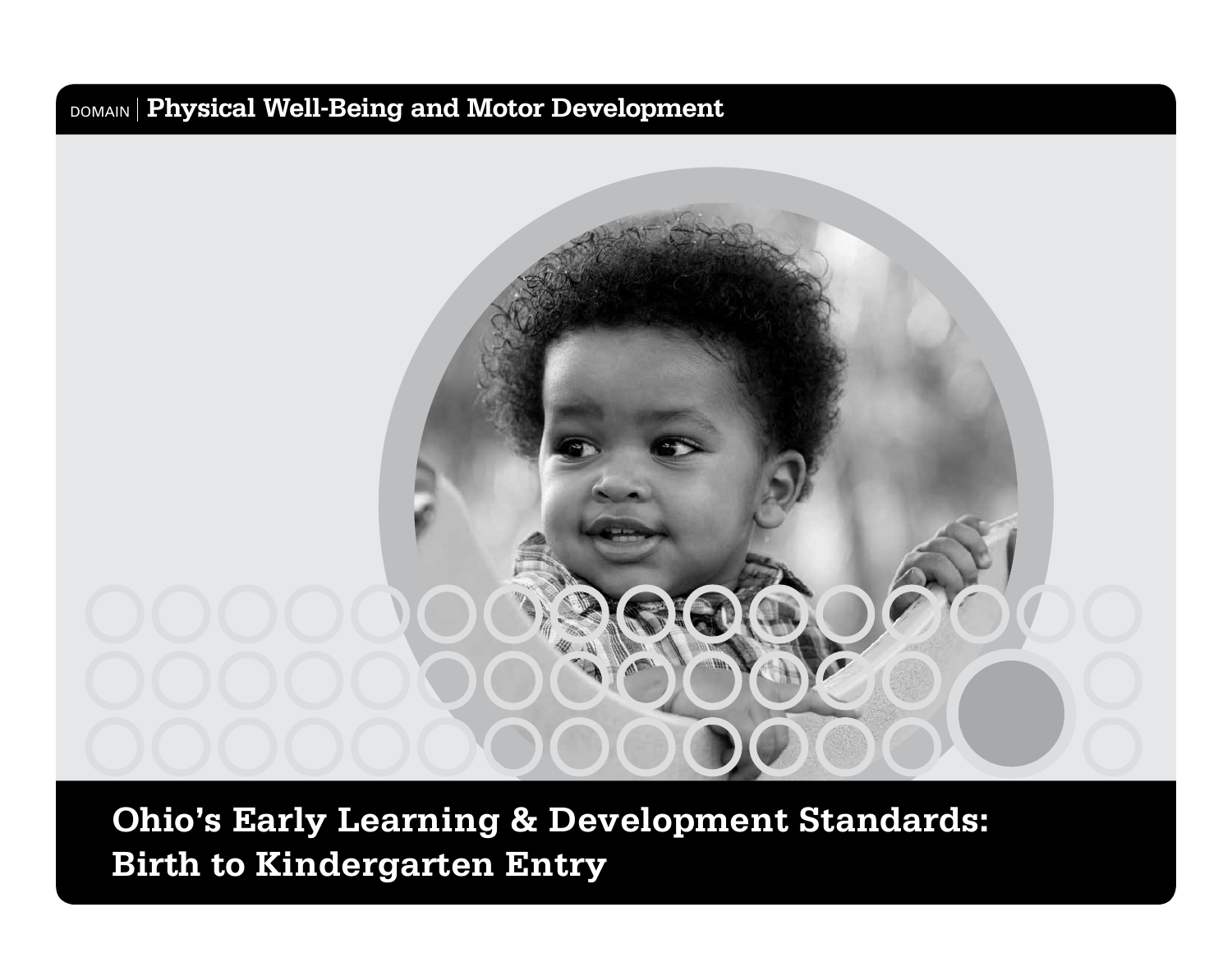# DOMAIN **Physical Well-Being and Motor Development**



**Ohio's Early Learning & Development Standards: Birth to Kindergarten Entry**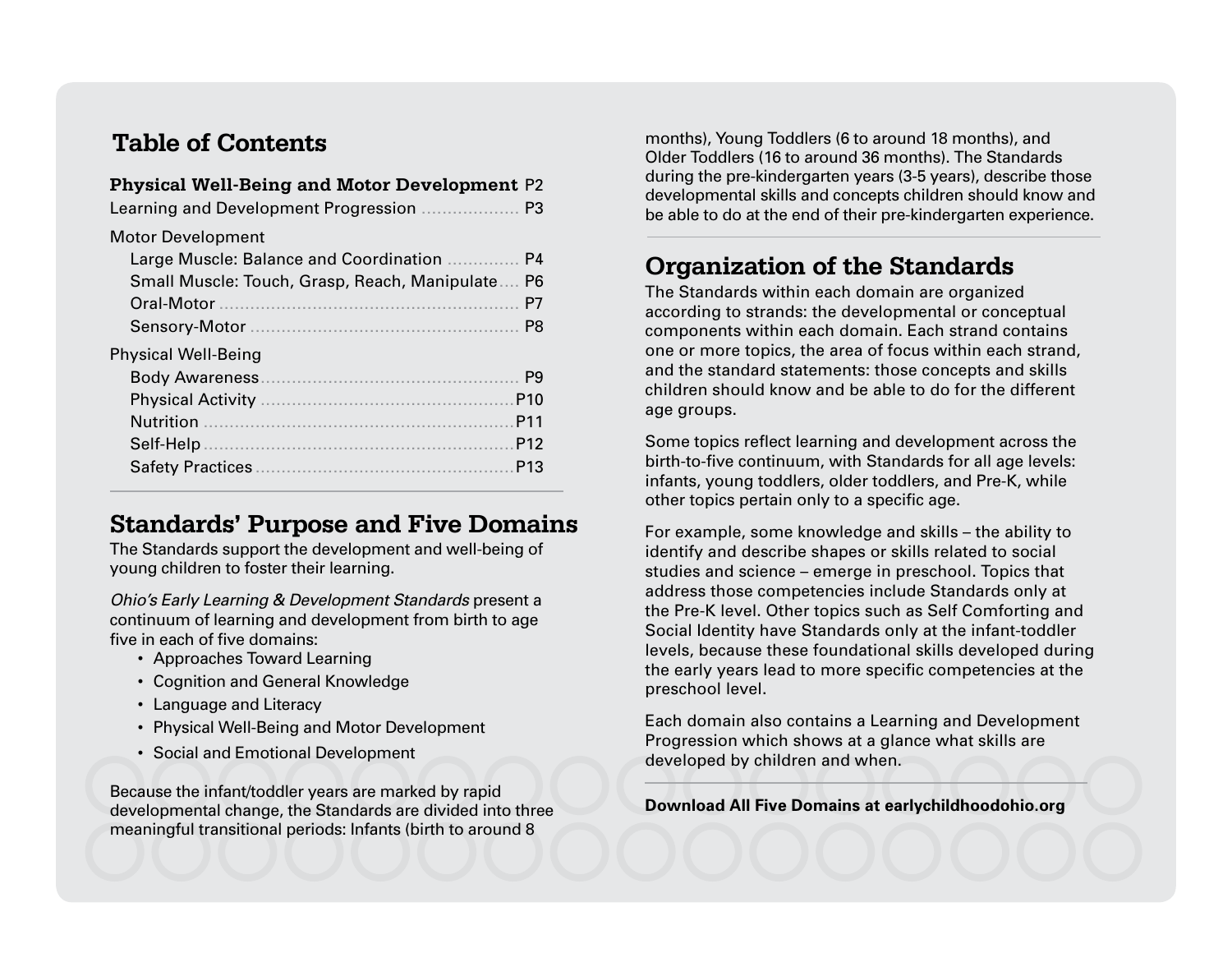#### **Table of Contents**

| <b>Physical Well-Being and Motor Development P2</b><br>Learning and Development Progression<br>P <sub>3</sub>                                                                                                                             |
|-------------------------------------------------------------------------------------------------------------------------------------------------------------------------------------------------------------------------------------------|
| <b>Motor Development</b><br>Large Muscle: Balance and Coordination<br>P4<br>Small Muscle: Touch, Grasp, Reach, Manipulate<br>P6<br>Oral-Motor<br>P7<br>P8                                                                                 |
| <b>Physical Well-Being</b><br><b>Body Awareness</b><br>P <sub>9</sub><br><b>Physical Activity</b><br>P <sub>10</sub><br><b>Nutrition</b><br>P <sub>11</sub><br>Self-Help<br>P <sub>12</sub><br><b>Safety Practices</b><br>P <sub>13</sub> |

#### **Standards' Purpose and Five Domains**

The Standards support the development and well-being of young children to foster their learning.

*Ohio's Early Learning & Development Standards* present a continuum of learning and development from birth to age five in each of five domains:

- Approaches Toward Learning
- Cognition and General Knowledge
- Language and Literacy
- Physical Well-Being and Motor Development
- Social and Emotional Development

Because the infant/toddler years are marked by rapid developmental change, the Standards are divided into three meaningful transitional periods: Infants (birth to around 8

months), Young Toddlers (6 to around 18 months), and Older Toddlers (16 to around 36 months). The Standards during the pre-kindergarten years (3-5 years), describe those developmental skills and concepts children should know and be able to do at the end of their pre-kindergarten experience.

#### **Organization of the Standards**

The Standards within each domain are organized according to strands: the developmental or conceptual components within each domain. Each strand contains one or more topics, the area of focus within each strand, and the standard statements: those concepts and skills children should know and be able to do for the different age groups.

Some topics reflect learning and development across the birth-to-five continuum, with Standards for all age levels: infants, young toddlers, older toddlers, and Pre-K, while other topics pertain only to a specific age.

For example, some knowledge and skills – the ability to identify and describe shapes or skills related to social studies and science – emerge in preschool. Topics that address those competencies include Standards only at the Pre-K level. Other topics such as Self Comforting and Social Identity have Standards only at the infant-toddler levels, because these foundational skills developed during the early years lead to more specific competencies at the preschool level.

Each domain also contains a Learning and Development Progression which shows at a glance what skills are developed by children and when.

**Download All Five Domains at earlychildhoodohio.org**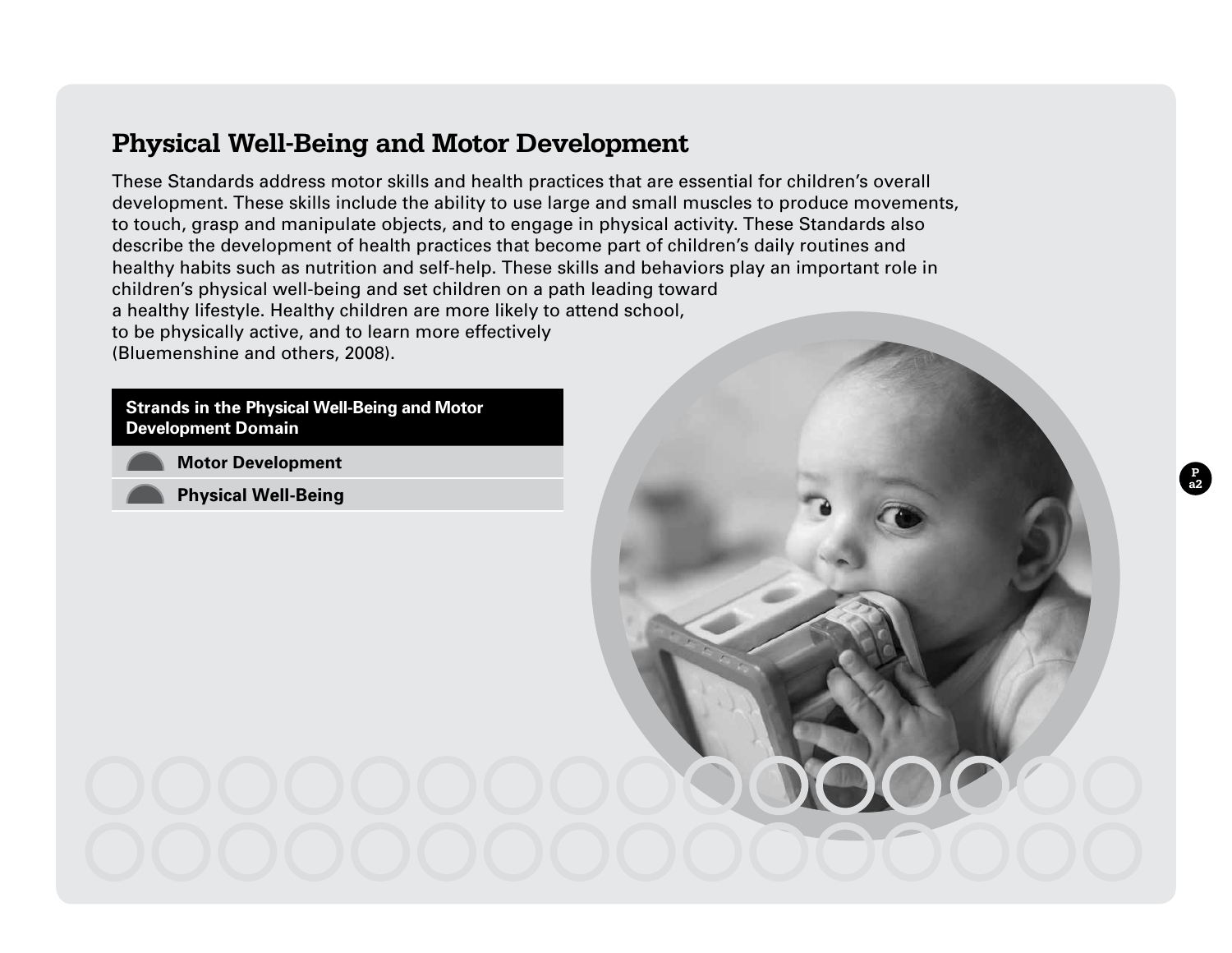#### **Physical Well-Being and Motor Development**

These Standards address motor skills and health practices that are essential for children's overall development. These skills include the ability to use large and small muscles to produce movements, to touch, grasp and manipulate objects, and to engage in physical activity. These Standards also describe the development of health practices that become part of children's daily routines and healthy habits such as nutrition and self-help. These skills and behaviors play an important role in children's physical well-being and set children on a path leading toward a healthy lifestyle. Healthy children are more likely to attend school, to be physically active, and to learn more effectively (Bluemenshine and others, 2008).

**P a2**

#### **Strands in the Physical Well-Being and Motor Development Domain**

**Motor Development** 

**Physical Well-Being**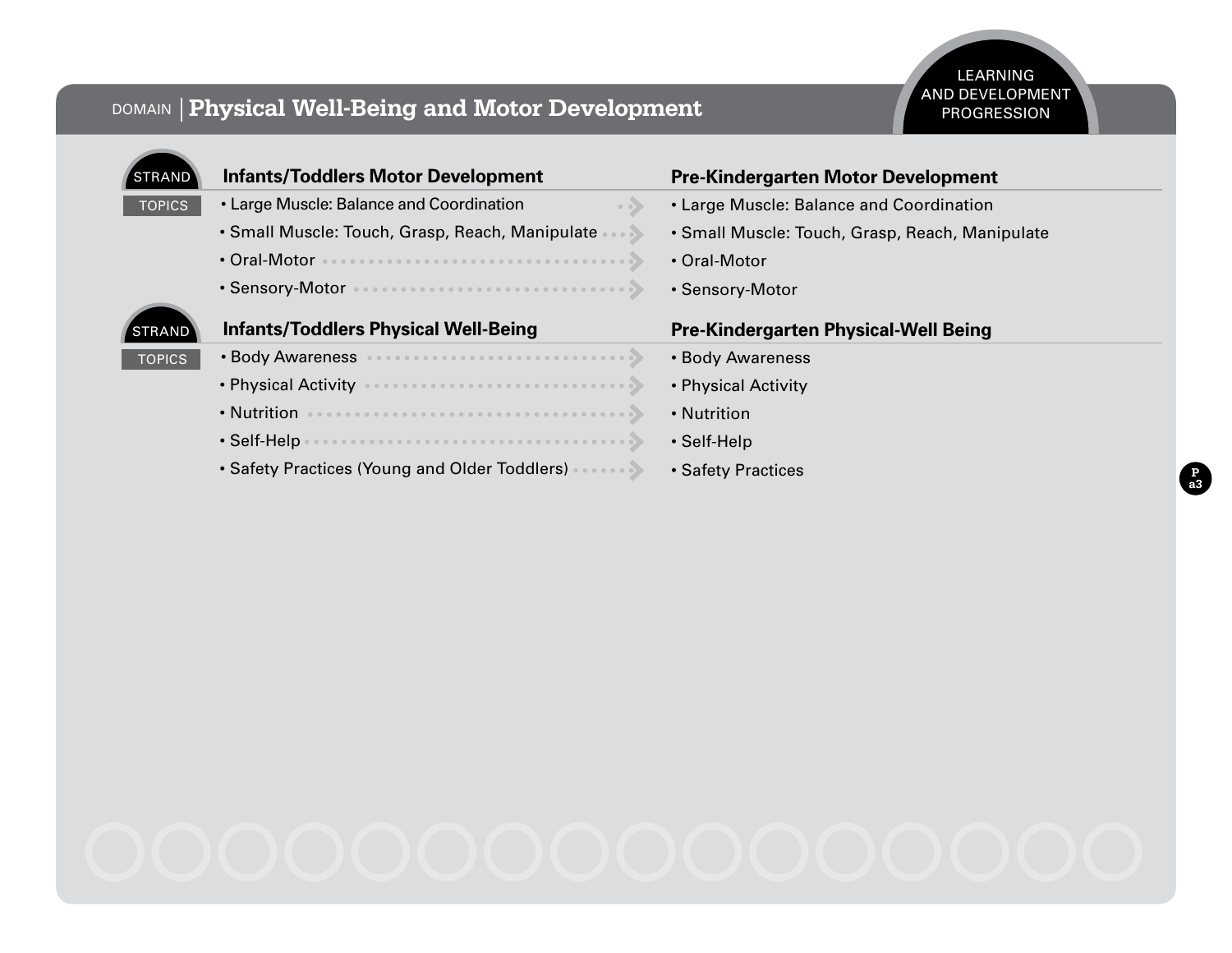#### DOMAIN **Physical Well-Being and Motor Development**

#### LEARNING AND DEVELOPMENT PROGRESSION

| <b>STRAND</b> | <b>Infants/Toddlers Motor Development</b>                       | <b>Pre-Kindergarten Motor Development</b>       |
|---------------|-----------------------------------------------------------------|-------------------------------------------------|
| <b>TOPICS</b> | • Large Muscle: Balance and Coordination<br>$\bullet$ $\bullet$ | • Large Muscle: Balance and Coordination        |
|               | • Small Muscle: Touch, Grasp, Reach, Manipulate                 | • Small Muscle: Touch, Grasp, Reach, Manipulate |
|               | • Oral-Motor                                                    | • Oral-Motor                                    |
|               | • Sensory-Motor                                                 | • Sensory-Motor                                 |
|               |                                                                 |                                                 |
| <b>STRAND</b> | <b>Infants/Toddlers Physical Well-Being</b>                     | <b>Pre-Kindergarten Physical-Well Being</b>     |
| <b>TOPICS</b> | • Body Awareness                                                | • Body Awareness                                |
|               | • Physical Activity                                             | • Physical Activity                             |
|               | • Nutrition                                                     | • Nutrition                                     |
|               | • Self-Help                                                     | • Self-Help                                     |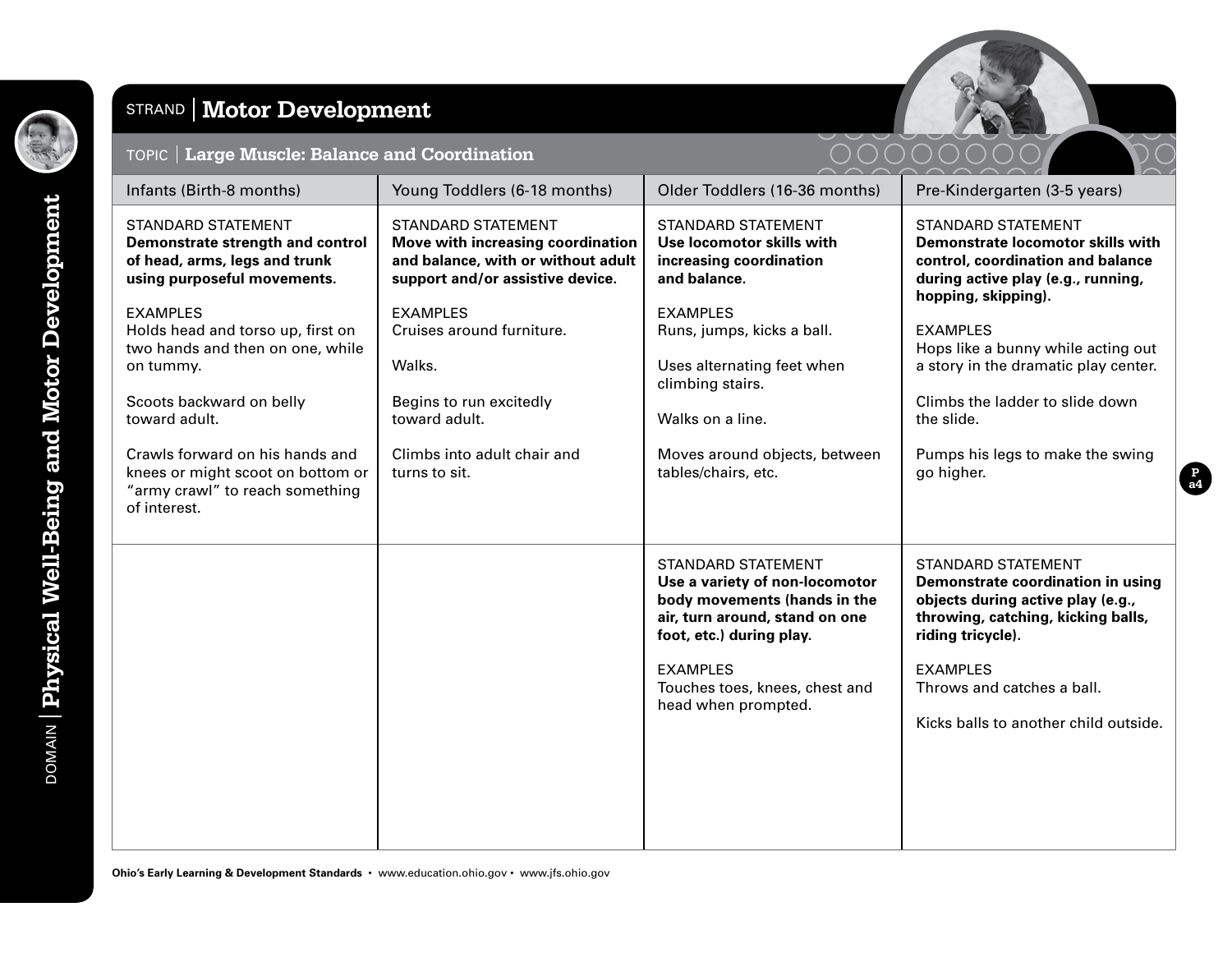

# STRAND **Motor Development**





| Infants (Birth-8 months)                                                                                                                                                                                                                                                      | Young Toddlers (6-18 months)                                                                                                                       | Older Toddlers (16-36 months)                                                                                                                                                                                                         | Pre-Kindergarten (3-5 years)                                                                                                                                                                                                                             |
|-------------------------------------------------------------------------------------------------------------------------------------------------------------------------------------------------------------------------------------------------------------------------------|----------------------------------------------------------------------------------------------------------------------------------------------------|---------------------------------------------------------------------------------------------------------------------------------------------------------------------------------------------------------------------------------------|----------------------------------------------------------------------------------------------------------------------------------------------------------------------------------------------------------------------------------------------------------|
| <b>STANDARD STATEMENT</b><br>Demonstrate strength and control<br>of head, arms, legs and trunk<br>using purposeful movements.                                                                                                                                                 | <b>STANDARD STATEMENT</b><br>Move with increasing coordination<br>and balance, with or without adult<br>support and/or assistive device.           | <b>STANDARD STATEMENT</b><br>Use locomotor skills with<br>increasing coordination<br>and balance.                                                                                                                                     | <b>STANDARD STATEMENT</b><br>Demonstrate locomotor skills with<br>control, coordination and balance<br>during active play (e.g., running,<br>hopping, skipping).                                                                                         |
| <b>EXAMPLES</b><br>Holds head and torso up, first on<br>two hands and then on one, while<br>on tummy.<br>Scoots backward on belly<br>toward adult.<br>Crawls forward on his hands and<br>knees or might scoot on bottom or<br>"army crawl" to reach something<br>of interest. | <b>EXAMPLES</b><br>Cruises around furniture.<br>Walks.<br>Begins to run excitedly<br>toward adult.<br>Climbs into adult chair and<br>turns to sit. | <b>EXAMPLES</b><br>Runs, jumps, kicks a ball.<br>Uses alternating feet when<br>climbing stairs.<br>Walks on a line.<br>Moves around objects, between<br>tables/chairs, etc.                                                           | <b>EXAMPLES</b><br>Hops like a bunny while acting out<br>a story in the dramatic play center.<br>Climbs the ladder to slide down<br>the slide.<br>Pumps his legs to make the swing<br>go higher.                                                         |
|                                                                                                                                                                                                                                                                               |                                                                                                                                                    | <b>STANDARD STATEMENT</b><br>Use a variety of non-locomotor<br>body movements (hands in the<br>air, turn around, stand on one<br>foot, etc.) during play.<br><b>EXAMPLES</b><br>Touches toes, knees, chest and<br>head when prompted. | <b>STANDARD STATEMENT</b><br>Demonstrate coordination in using<br>objects during active play (e.g.,<br>throwing, catching, kicking balls,<br>riding tricycle).<br><b>EXAMPLES</b><br>Throws and catches a ball.<br>Kicks balls to another child outside. |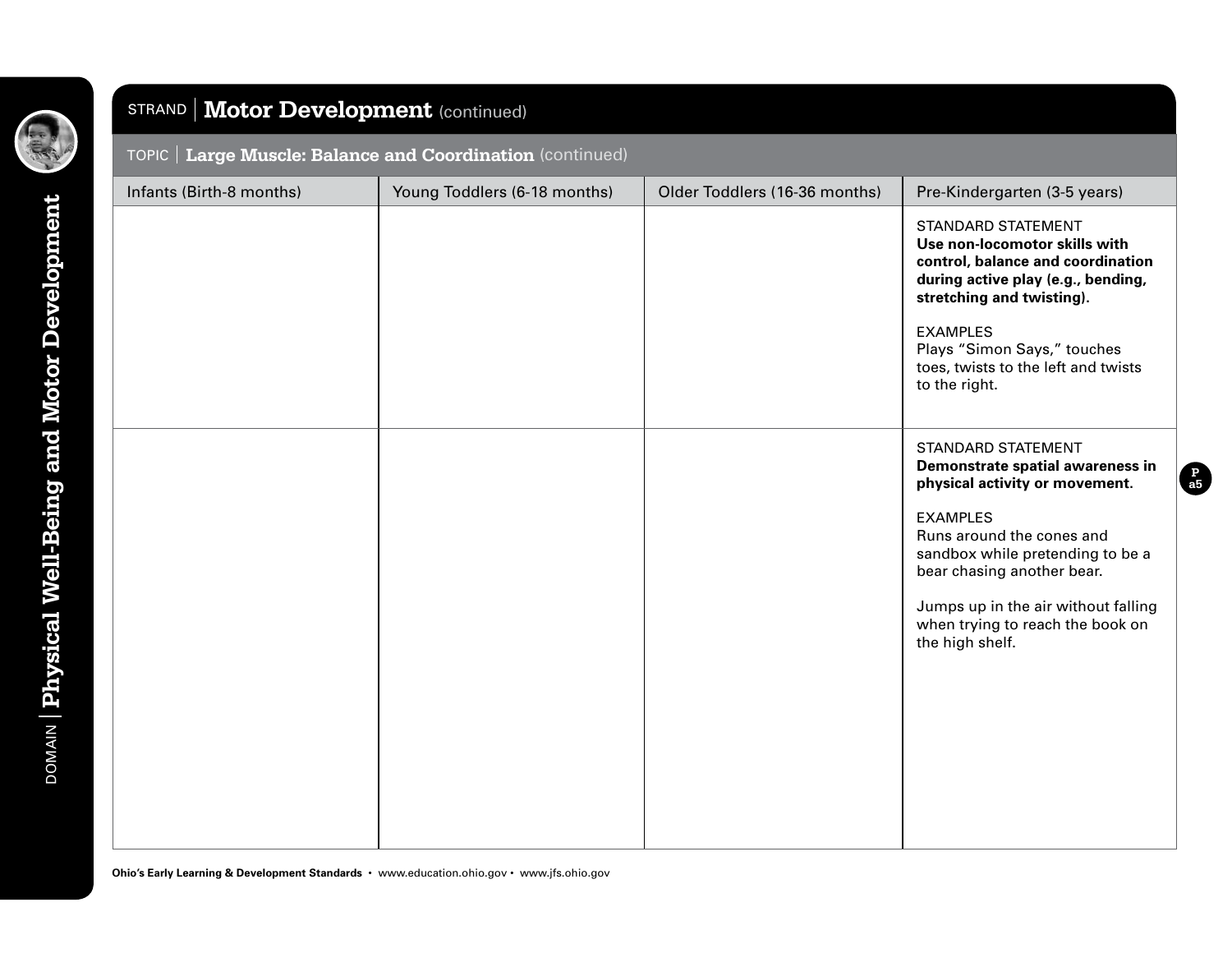

#### STRAND **Motor Development** (continued)

#### TOPIC **Large Muscle: Balance and Coordination** (continued)

| Infants (Birth-8 months) | Young Toddlers (6-18 months) | Older Toddlers (16-36 months) | Pre-Kindergarten (3-5 years)                                                                                                                                                                                                                                                                                    |
|--------------------------|------------------------------|-------------------------------|-----------------------------------------------------------------------------------------------------------------------------------------------------------------------------------------------------------------------------------------------------------------------------------------------------------------|
|                          |                              |                               | <b>STANDARD STATEMENT</b><br>Use non-locomotor skills with<br>control, balance and coordination<br>during active play (e.g., bending,<br>stretching and twisting).<br><b>EXAMPLES</b><br>Plays "Simon Says," touches<br>toes, twists to the left and twists<br>to the right.                                    |
|                          |                              |                               | <b>STANDARD STATEMENT</b><br>Demonstrate spatial awareness in<br>physical activity or movement.<br><b>EXAMPLES</b><br>Runs around the cones and<br>sandbox while pretending to be a<br>bear chasing another bear.<br>Jumps up in the air without falling<br>when trying to reach the book on<br>the high shelf. |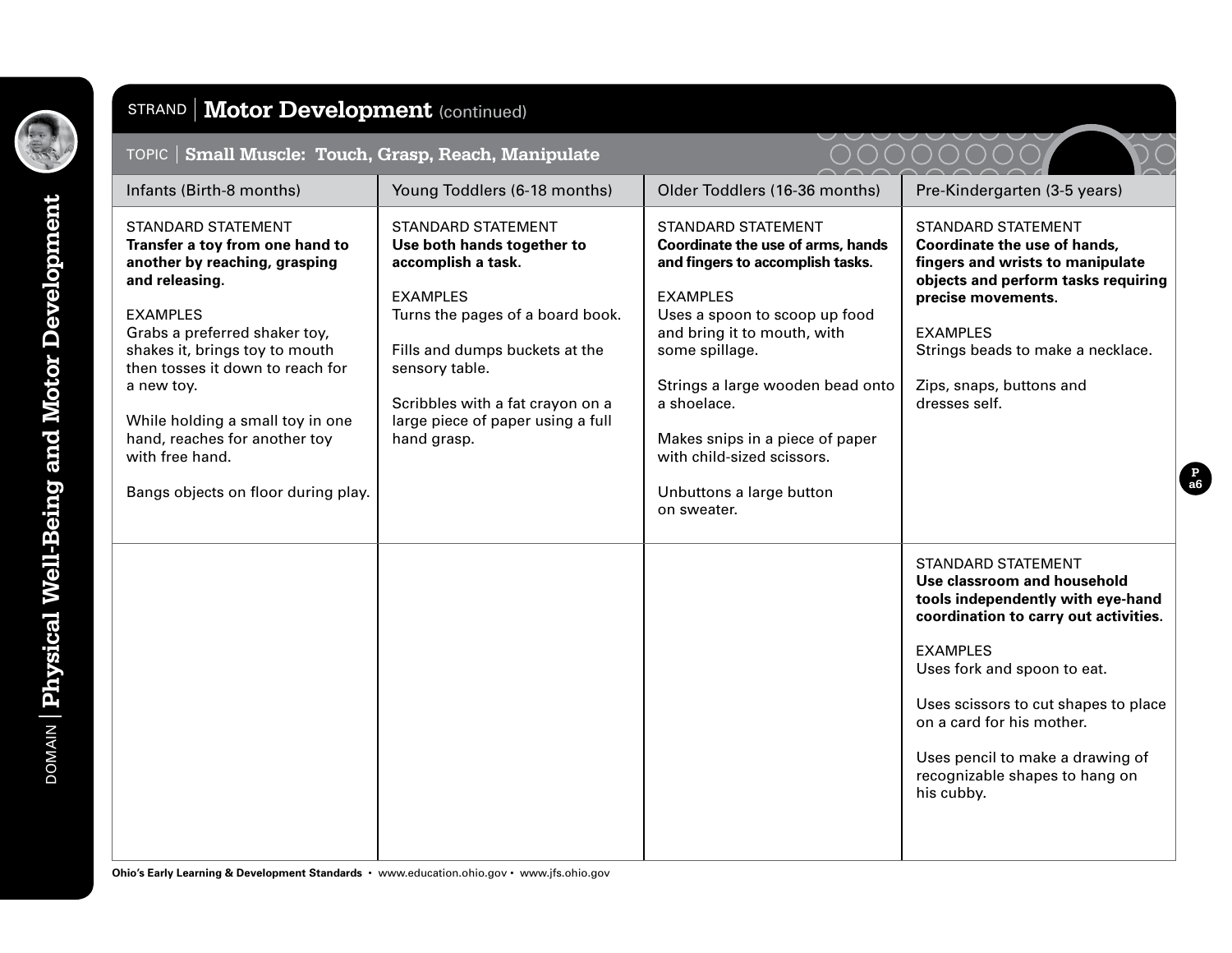

# STRAND | Motor Development (continued)

| TOPIC   Small Muscle: Touch, Grasp, Reach, Manipulate                                                                                                                                                                                                                                                                                                                                  |                                                                                                                                                                                                                                                                                  |                                                                                                                                                                                                                                                                                                                                                                        |                                                                                                                                                                                                                                                                                                                                                   |
|----------------------------------------------------------------------------------------------------------------------------------------------------------------------------------------------------------------------------------------------------------------------------------------------------------------------------------------------------------------------------------------|----------------------------------------------------------------------------------------------------------------------------------------------------------------------------------------------------------------------------------------------------------------------------------|------------------------------------------------------------------------------------------------------------------------------------------------------------------------------------------------------------------------------------------------------------------------------------------------------------------------------------------------------------------------|---------------------------------------------------------------------------------------------------------------------------------------------------------------------------------------------------------------------------------------------------------------------------------------------------------------------------------------------------|
| Infants (Birth-8 months)                                                                                                                                                                                                                                                                                                                                                               | Young Toddlers (6-18 months)                                                                                                                                                                                                                                                     | Older Toddlers (16-36 months)                                                                                                                                                                                                                                                                                                                                          | Pre-Kindergarten (3-5 years)                                                                                                                                                                                                                                                                                                                      |
| <b>STANDARD STATEMENT</b><br>Transfer a toy from one hand to<br>another by reaching, grasping<br>and releasing.<br><b>EXAMPLES</b><br>Grabs a preferred shaker toy,<br>shakes it, brings toy to mouth<br>then tosses it down to reach for<br>a new toy.<br>While holding a small toy in one<br>hand, reaches for another toy<br>with free hand.<br>Bangs objects on floor during play. | <b>STANDARD STATEMENT</b><br>Use both hands together to<br>accomplish a task.<br><b>EXAMPLES</b><br>Turns the pages of a board book.<br>Fills and dumps buckets at the<br>sensory table.<br>Scribbles with a fat crayon on a<br>large piece of paper using a full<br>hand grasp. | <b>STANDARD STATEMENT</b><br>Coordinate the use of arms, hands<br>and fingers to accomplish tasks.<br><b>EXAMPLES</b><br>Uses a spoon to scoop up food<br>and bring it to mouth, with<br>some spillage.<br>Strings a large wooden bead onto<br>a shoelace.<br>Makes snips in a piece of paper<br>with child-sized scissors.<br>Unbuttons a large button<br>on sweater. | <b>STANDARD STATEMENT</b><br>Coordinate the use of hands,<br>fingers and wrists to manipulate<br>objects and perform tasks requiring<br>precise movements.<br><b>EXAMPLES</b><br>Strings beads to make a necklace.<br>Zips, snaps, buttons and<br>dresses self.                                                                                   |
|                                                                                                                                                                                                                                                                                                                                                                                        |                                                                                                                                                                                                                                                                                  |                                                                                                                                                                                                                                                                                                                                                                        | <b>STANDARD STATEMENT</b><br>Use classroom and household<br>tools independently with eye-hand<br>coordination to carry out activities.<br><b>EXAMPLES</b><br>Uses fork and spoon to eat.<br>Uses scissors to cut shapes to place<br>on a card for his mother.<br>Uses pencil to make a drawing of<br>recognizable shapes to hang on<br>his cubby. |

**P a6**

**Ohio's Early Learning & Development Standards** • www.education.ohio.gov • www.jfs.ohio.gov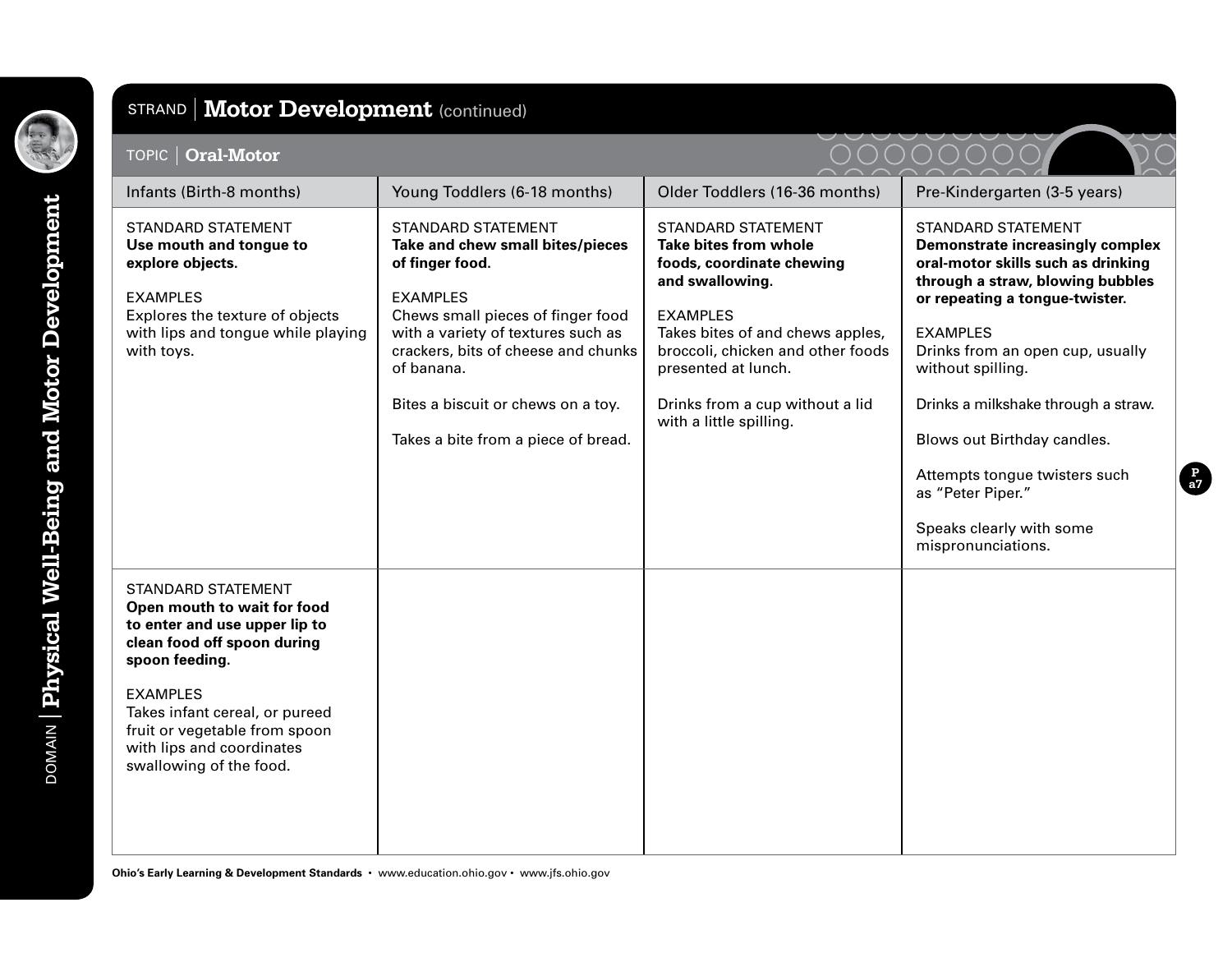

# STRAND | Motor Development (continued)

| <b>TOPIC   Oral-Motor</b>                                                                                                                                                                                                                                                                |                                                                                                                                                                                                                                                                                                                  |                                                                                                                                                                                                                                                                                     | ( ) ( )                                                                                                                                                                                                                                                                                                                                                                                                                                    |
|------------------------------------------------------------------------------------------------------------------------------------------------------------------------------------------------------------------------------------------------------------------------------------------|------------------------------------------------------------------------------------------------------------------------------------------------------------------------------------------------------------------------------------------------------------------------------------------------------------------|-------------------------------------------------------------------------------------------------------------------------------------------------------------------------------------------------------------------------------------------------------------------------------------|--------------------------------------------------------------------------------------------------------------------------------------------------------------------------------------------------------------------------------------------------------------------------------------------------------------------------------------------------------------------------------------------------------------------------------------------|
| Infants (Birth-8 months)                                                                                                                                                                                                                                                                 | Young Toddlers (6-18 months)                                                                                                                                                                                                                                                                                     | Older Toddlers (16-36 months)                                                                                                                                                                                                                                                       | Pre-Kindergarten (3-5 years)                                                                                                                                                                                                                                                                                                                                                                                                               |
| <b>STANDARD STATEMENT</b><br>Use mouth and tongue to<br>explore objects.<br><b>EXAMPLES</b><br>Explores the texture of objects<br>with lips and tongue while playing<br>with toys.                                                                                                       | <b>STANDARD STATEMENT</b><br>Take and chew small bites/pieces<br>of finger food.<br><b>EXAMPLES</b><br>Chews small pieces of finger food<br>with a variety of textures such as<br>crackers, bits of cheese and chunks<br>of banana.<br>Bites a biscuit or chews on a toy.<br>Takes a bite from a piece of bread. | <b>STANDARD STATEMENT</b><br>Take bites from whole<br>foods, coordinate chewing<br>and swallowing.<br><b>EXAMPLES</b><br>Takes bites of and chews apples,<br>broccoli, chicken and other foods<br>presented at lunch.<br>Drinks from a cup without a lid<br>with a little spilling. | <b>STANDARD STATEMENT</b><br><b>Demonstrate increasingly complex</b><br>oral-motor skills such as drinking<br>through a straw, blowing bubbles<br>or repeating a tongue-twister.<br><b>EXAMPLES</b><br>Drinks from an open cup, usually<br>without spilling.<br>Drinks a milkshake through a straw.<br>Blows out Birthday candles.<br>Attempts tongue twisters such<br>as "Peter Piper."<br>Speaks clearly with some<br>mispronunciations. |
| <b>STANDARD STATEMENT</b><br>Open mouth to wait for food<br>to enter and use upper lip to<br>clean food off spoon during<br>spoon feeding.<br><b>EXAMPLES</b><br>Takes infant cereal, or pureed<br>fruit or vegetable from spoon<br>with lips and coordinates<br>swallowing of the food. |                                                                                                                                                                                                                                                                                                                  |                                                                                                                                                                                                                                                                                     |                                                                                                                                                                                                                                                                                                                                                                                                                                            |

**P a7**

**Ohio's Early Learning & Development Standards** • www.education.ohio.gov • www.jfs.ohio.gov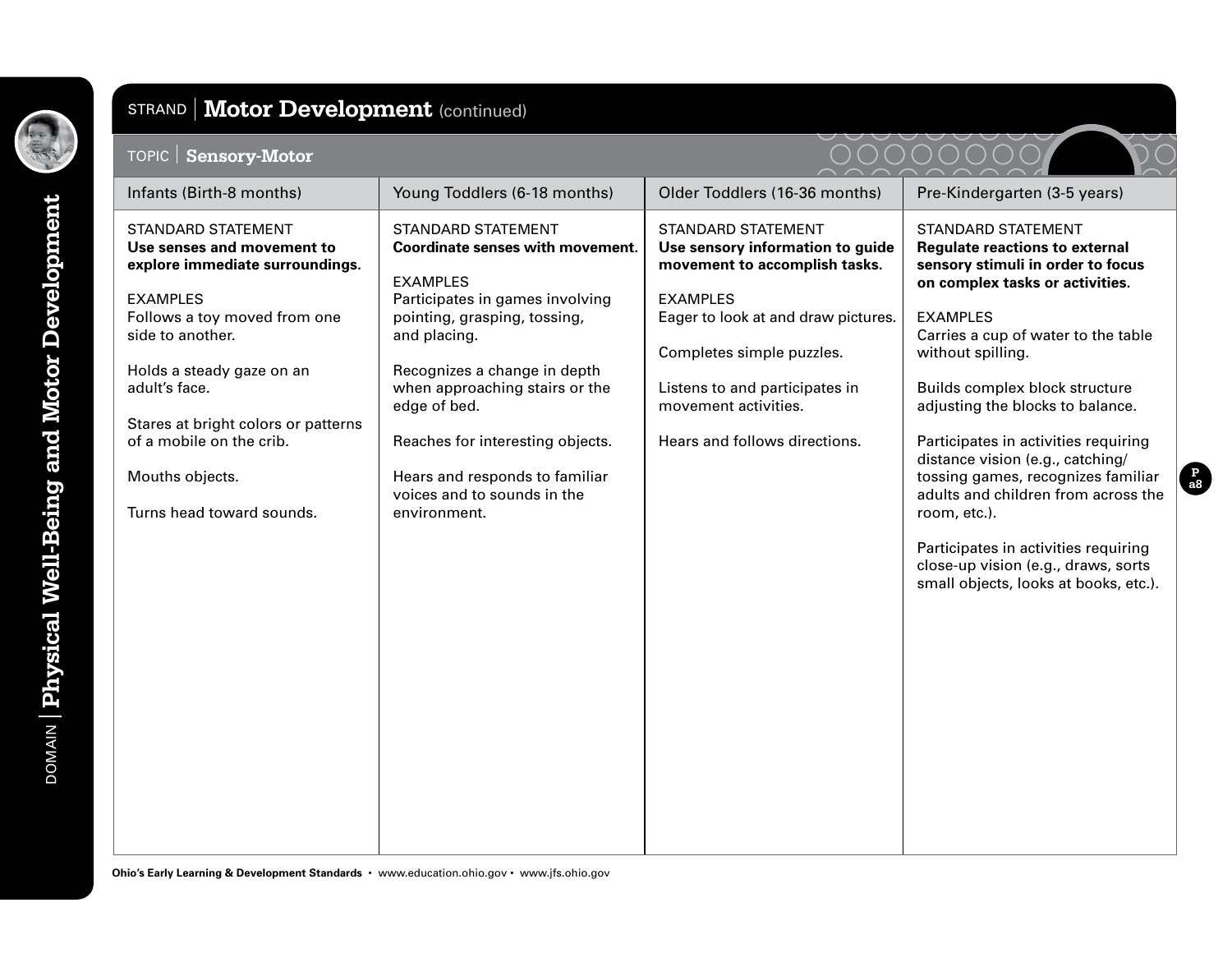

#### STRAND **Motor Development** (continued)

#### TOPIC **Sensory-Motor** Infants (Birth-8 months) Young Toddlers (6-18 months) Older Toddlers (16-36 months) Pre-Kindergarten (3-5 years) STANDARD STATEMENT **Use senses and movement to explore immediate surroundings.** EXAMPLES Follows a toy moved from one side to another. Holds a steady gaze on an adult's face. Stares at bright colors or patterns of a mobile on the crib. Mouths objects. Turns head toward sounds. STANDARD STATEMENT **Coordinate senses with movement.** EXAMPLES Participates in games involving pointing, grasping, tossing, and placing. Recognizes a change in depth when approaching stairs or the edge of bed. Reaches for interesting objects. Hears and responds to familiar voices and to sounds in the environment. STANDARD STATEMENT **Use sensory information to guide movement to accomplish tasks.** EXAMPLES Eager to look at and draw pictures. Completes simple puzzles. Listens to and participates in movement activities. Hears and follows directions. STANDARD STATEMENT **Regulate reactions to external sensory stimuli in order to focus on complex tasks or activities.** EXAMPLES Carries a cup of water to the table without spilling. Builds complex block structure adjusting the blocks to balance. Participates in activities requiring distance vision (e.g., catching/ tossing games, recognizes familiar adults and children from across the room, etc.). Participates in activities requiring close-up vision (e.g., draws, sorts small objects, looks at books, etc.).

**Ohio's Early Learning & Development Standards** • www.education.ohio.gov • www.jfs.ohio.gov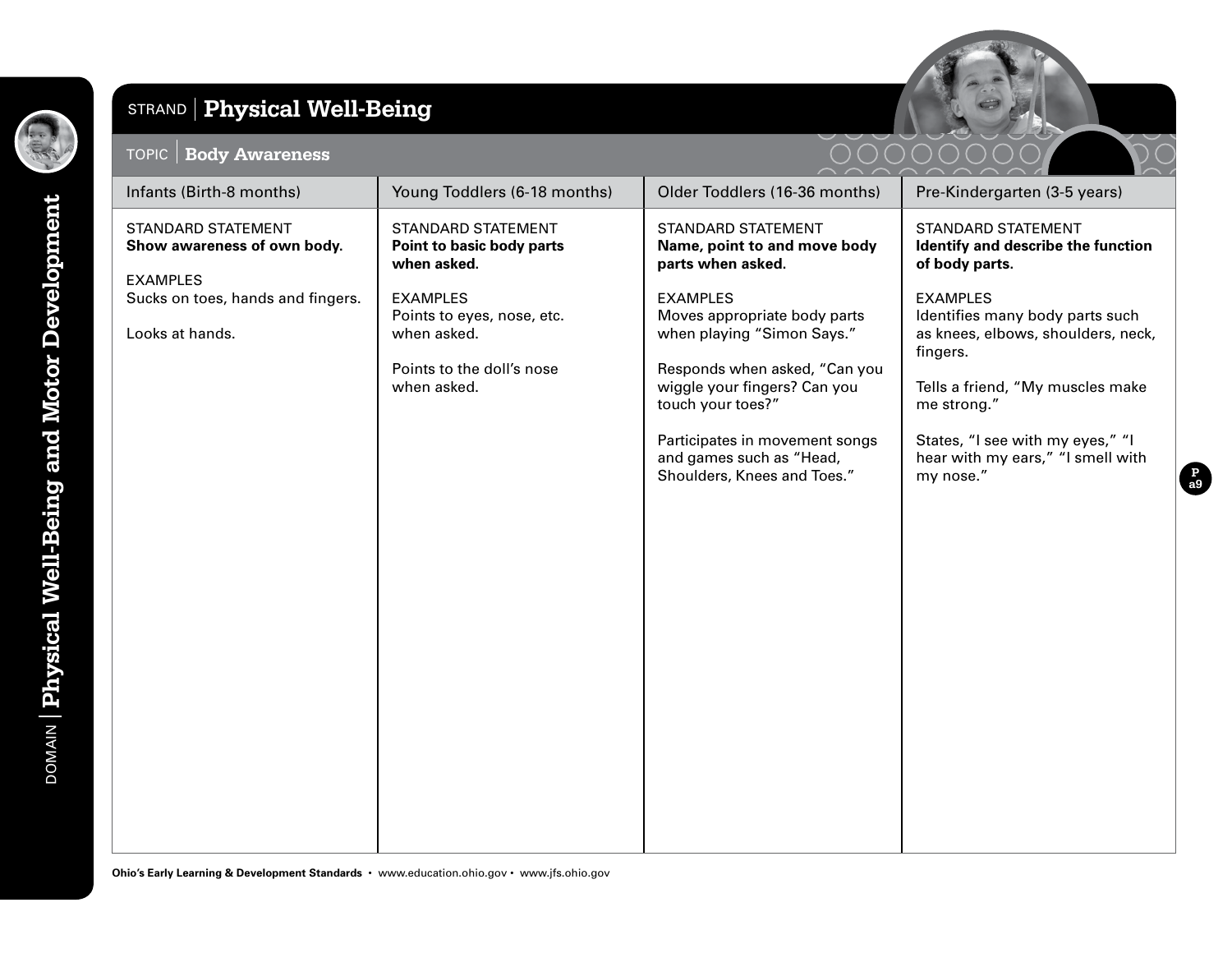

DOMAIN **Physical Well-Being and Motor Development**

# STRAND **Physical Well-Being**

#### TOPIC **Body Awareness**



| Infants (Birth-8 months)                                                | Young Toddlers (6-18 months)                                                                             | Older Toddlers (16-36 months)                                                                                                                                                                                                                                    | Pre-Kindergarten (3-5 years)                                                                                                                                                                                                                  |
|-------------------------------------------------------------------------|----------------------------------------------------------------------------------------------------------|------------------------------------------------------------------------------------------------------------------------------------------------------------------------------------------------------------------------------------------------------------------|-----------------------------------------------------------------------------------------------------------------------------------------------------------------------------------------------------------------------------------------------|
| <b>STANDARD STATEMENT</b><br>Show awareness of own body.                | STANDARD STATEMENT<br>Point to basic body parts<br>when asked.                                           | STANDARD STATEMENT<br>Name, point to and move body<br>parts when asked.                                                                                                                                                                                          | <b>STANDARD STATEMENT</b><br>Identify and describe the function<br>of body parts.                                                                                                                                                             |
| <b>EXAMPLES</b><br>Sucks on toes, hands and fingers.<br>Looks at hands. | <b>EXAMPLES</b><br>Points to eyes, nose, etc.<br>when asked.<br>Points to the doll's nose<br>when asked. | <b>EXAMPLES</b><br>Moves appropriate body parts<br>when playing "Simon Says."<br>Responds when asked, "Can you<br>wiggle your fingers? Can you<br>touch your toes?"<br>Participates in movement songs<br>and games such as "Head,<br>Shoulders, Knees and Toes." | <b>EXAMPLES</b><br>Identifies many body parts such<br>as knees, elbows, shoulders, neck,<br>fingers.<br>Tells a friend, "My muscles make<br>me strong."<br>States, "I see with my eyes," "I<br>hear with my ears," "I smell with<br>my nose." |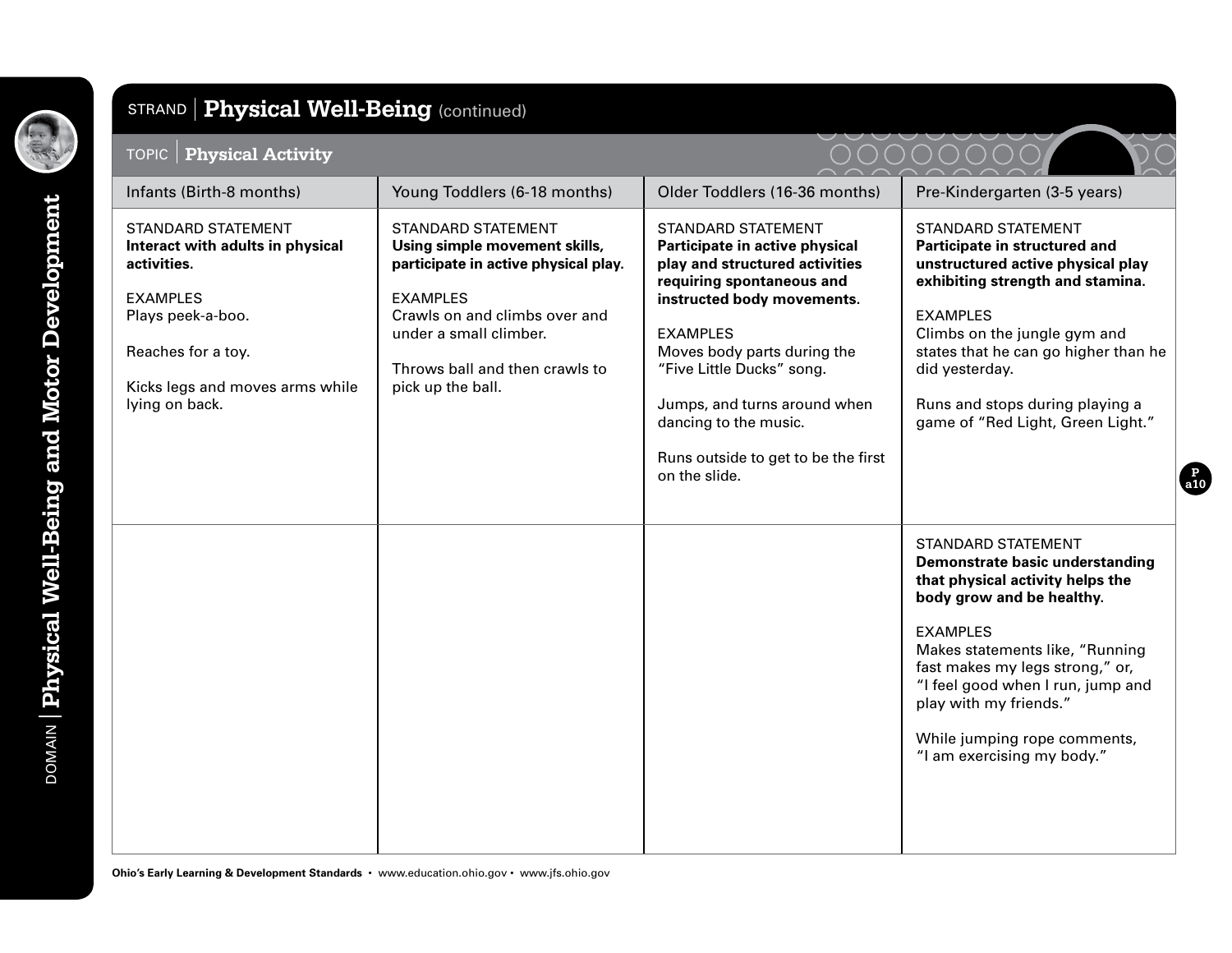

| <b>Physical Activity</b><br>TOPIC                                                                                                                                                               |                                                                                                                                                                                                                                         |                                                                                                                                                                                                                                                                                                                                                          |                                                                                                                                                                                                                                                                                                                                                     |
|-------------------------------------------------------------------------------------------------------------------------------------------------------------------------------------------------|-----------------------------------------------------------------------------------------------------------------------------------------------------------------------------------------------------------------------------------------|----------------------------------------------------------------------------------------------------------------------------------------------------------------------------------------------------------------------------------------------------------------------------------------------------------------------------------------------------------|-----------------------------------------------------------------------------------------------------------------------------------------------------------------------------------------------------------------------------------------------------------------------------------------------------------------------------------------------------|
| Infants (Birth-8 months)                                                                                                                                                                        | Young Toddlers (6-18 months)                                                                                                                                                                                                            | Older Toddlers (16-36 months)                                                                                                                                                                                                                                                                                                                            | Pre-Kindergarten (3-5 years)                                                                                                                                                                                                                                                                                                                        |
| <b>STANDARD STATEMENT</b><br>Interact with adults in physical<br>activities.<br><b>EXAMPLES</b><br>Plays peek-a-boo.<br>Reaches for a toy.<br>Kicks legs and moves arms while<br>lying on back. | <b>STANDARD STATEMENT</b><br>Using simple movement skills,<br>participate in active physical play.<br><b>EXAMPLES</b><br>Crawls on and climbs over and<br>under a small climber.<br>Throws ball and then crawls to<br>pick up the ball. | <b>STANDARD STATEMENT</b><br>Participate in active physical<br>play and structured activities<br>requiring spontaneous and<br>instructed body movements.<br><b>EXAMPLES</b><br>Moves body parts during the<br>"Five Little Ducks" song.<br>Jumps, and turns around when<br>dancing to the music.<br>Runs outside to get to be the first<br>on the slide. | <b>STANDARD STATEMENT</b><br>Participate in structured and<br>unstructured active physical play<br>exhibiting strength and stamina.<br><b>EXAMPLES</b><br>Climbs on the jungle gym and<br>states that he can go higher than he<br>did yesterday.<br>Runs and stops during playing a<br>game of "Red Light, Green Light."                            |
|                                                                                                                                                                                                 |                                                                                                                                                                                                                                         |                                                                                                                                                                                                                                                                                                                                                          | <b>STANDARD STATEMENT</b><br>Demonstrate basic understanding<br>that physical activity helps the<br>body grow and be healthy.<br><b>EXAMPLES</b><br>Makes statements like, "Running<br>fast makes my legs strong," or,<br>"I feel good when I run, jump and<br>play with my friends."<br>While jumping rope comments,<br>"I am exercising my body." |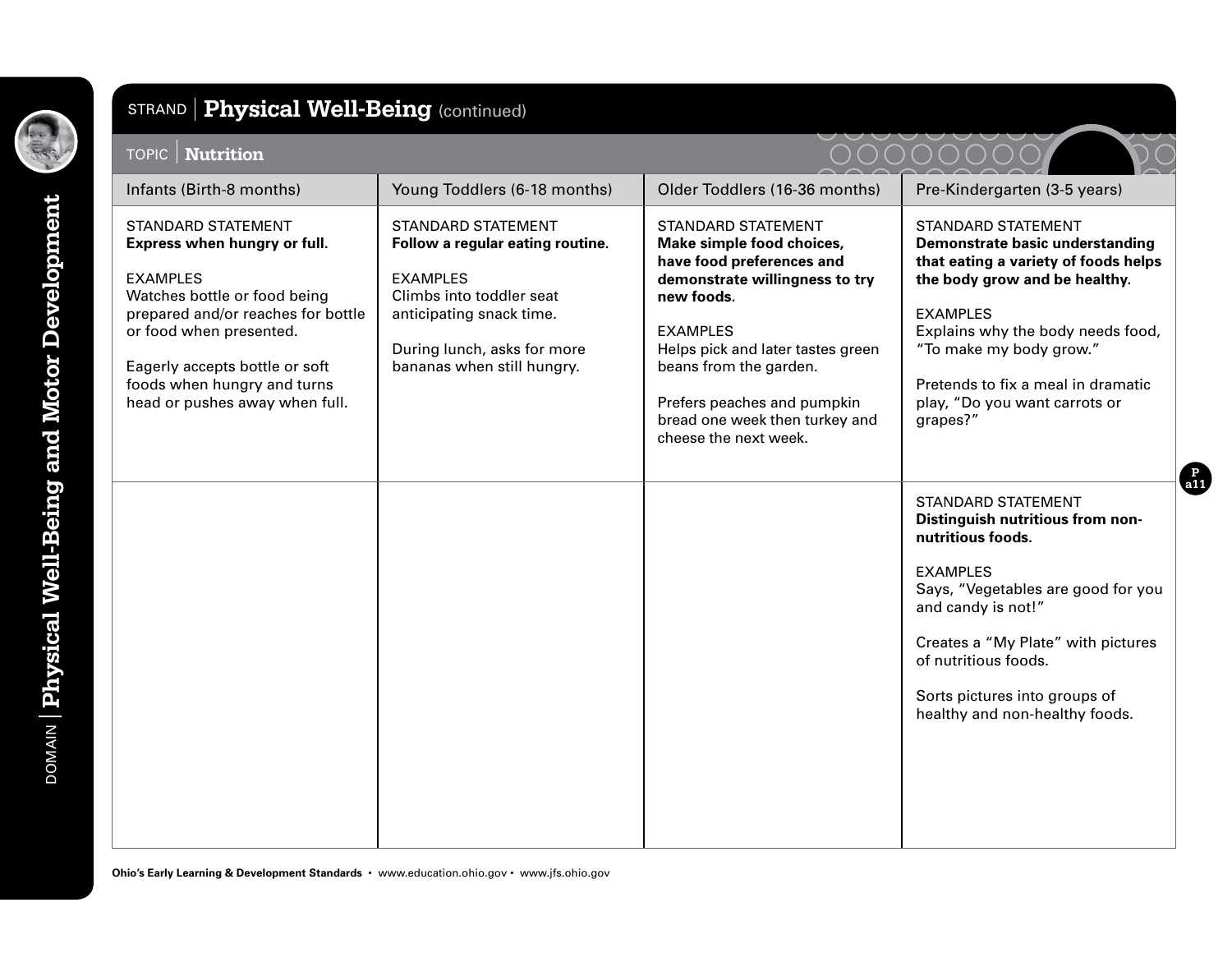

| <b>TOPIC</b>   <b>Nutrition</b>                                                                                                                                                                                                                                                  |                                                                                                                                                                                                       |                                                                                                                                                                                                                                                                                                                 |                                                                                                                                                                                                                                                                                                             |
|----------------------------------------------------------------------------------------------------------------------------------------------------------------------------------------------------------------------------------------------------------------------------------|-------------------------------------------------------------------------------------------------------------------------------------------------------------------------------------------------------|-----------------------------------------------------------------------------------------------------------------------------------------------------------------------------------------------------------------------------------------------------------------------------------------------------------------|-------------------------------------------------------------------------------------------------------------------------------------------------------------------------------------------------------------------------------------------------------------------------------------------------------------|
| Infants (Birth-8 months)                                                                                                                                                                                                                                                         | Young Toddlers (6-18 months)                                                                                                                                                                          | Older Toddlers (16-36 months)                                                                                                                                                                                                                                                                                   | Pre-Kindergarten (3-5 years)                                                                                                                                                                                                                                                                                |
| <b>STANDARD STATEMENT</b><br>Express when hungry or full.<br><b>EXAMPLES</b><br>Watches bottle or food being<br>prepared and/or reaches for bottle<br>or food when presented.<br>Eagerly accepts bottle or soft<br>foods when hungry and turns<br>head or pushes away when full. | <b>STANDARD STATEMENT</b><br>Follow a regular eating routine.<br><b>EXAMPLES</b><br>Climbs into toddler seat<br>anticipating snack time.<br>During lunch, asks for more<br>bananas when still hungry. | <b>STANDARD STATEMENT</b><br>Make simple food choices,<br>have food preferences and<br>demonstrate willingness to try<br>new foods.<br><b>EXAMPLES</b><br>Helps pick and later tastes green<br>beans from the garden.<br>Prefers peaches and pumpkin<br>bread one week then turkey and<br>cheese the next week. | <b>STANDARD STATEMENT</b><br>Demonstrate basic understanding<br>that eating a variety of foods helps<br>the body grow and be healthy.<br><b>EXAMPLES</b><br>Explains why the body needs food,<br>"To make my body grow."<br>Pretends to fix a meal in dramatic<br>play, "Do you want carrots or<br>grapes?" |
|                                                                                                                                                                                                                                                                                  |                                                                                                                                                                                                       |                                                                                                                                                                                                                                                                                                                 | <b>STANDARD STATEMENT</b><br>Distinguish nutritious from non-<br>nutritious foods.<br><b>EXAMPLES</b><br>Says, "Vegetables are good for you<br>and candy is not!"<br>Creates a "My Plate" with pictures<br>of nutritious foods.<br>Sorts pictures into groups of<br>healthy and non-healthy foods.          |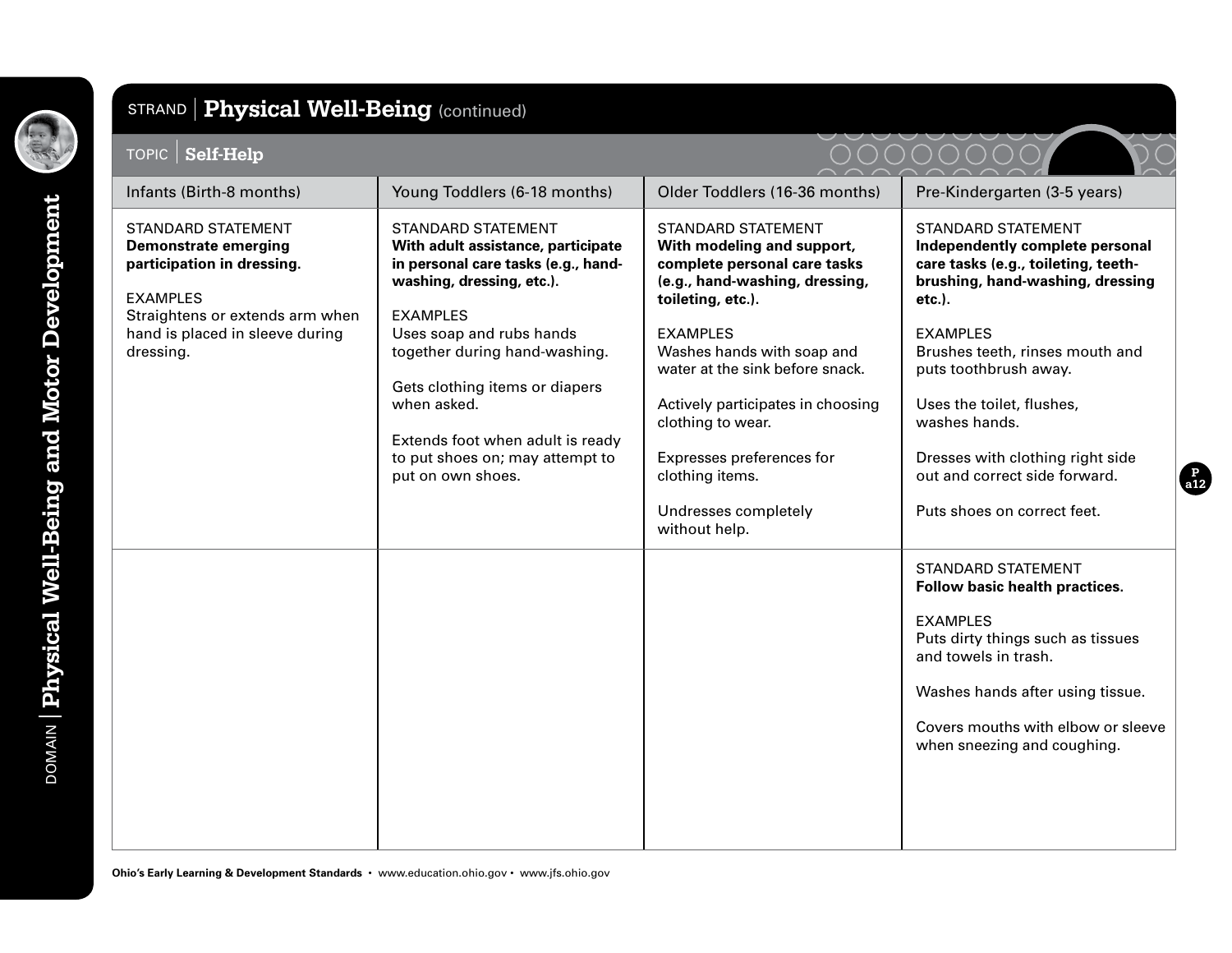

| TOPIC   Self-Help                                                                                                                                                                            |                                                                                                                                                                                                                     |                                                                                                                                                                                                 |                                                                                                                                                                                                                                                      |
|----------------------------------------------------------------------------------------------------------------------------------------------------------------------------------------------|---------------------------------------------------------------------------------------------------------------------------------------------------------------------------------------------------------------------|-------------------------------------------------------------------------------------------------------------------------------------------------------------------------------------------------|------------------------------------------------------------------------------------------------------------------------------------------------------------------------------------------------------------------------------------------------------|
| Infants (Birth-8 months)                                                                                                                                                                     | Young Toddlers (6-18 months)                                                                                                                                                                                        | Older Toddlers (16-36 months)                                                                                                                                                                   | Pre-Kindergarten (3-5 years)                                                                                                                                                                                                                         |
| <b>STANDARD STATEMENT</b><br><b>Demonstrate emerging</b><br>participation in dressing.<br><b>EXAMPLES</b><br>Straightens or extends arm when<br>hand is placed in sleeve during<br>dressing. | <b>STANDARD STATEMENT</b><br>With adult assistance, participate<br>in personal care tasks (e.g., hand-<br>washing, dressing, etc.).<br><b>EXAMPLES</b><br>Uses soap and rubs hands<br>together during hand-washing. | <b>STANDARD STATEMENT</b><br>With modeling and support,<br>complete personal care tasks<br>(e.g., hand-washing, dressing,<br>toileting, etc.).<br><b>EXAMPLES</b><br>Washes hands with soap and | <b>STANDARD STATEMENT</b><br>Independently complete personal<br>care tasks (e.g., toileting, teeth-<br>brushing, hand-washing, dressing<br>$etc.$ ).<br><b>EXAMPLES</b><br>Brushes teeth, rinses mouth and                                           |
|                                                                                                                                                                                              | Gets clothing items or diapers<br>when asked.<br>Extends foot when adult is ready<br>to put shoes on; may attempt to<br>put on own shoes.                                                                           | water at the sink before snack.<br>Actively participates in choosing<br>clothing to wear.<br>Expresses preferences for<br>clothing items.<br>Undresses completely<br>without help.              | puts toothbrush away.<br>Uses the toilet, flushes,<br>washes hands.<br>Dresses with clothing right side<br>out and correct side forward.<br>Puts shoes on correct feet.                                                                              |
|                                                                                                                                                                                              |                                                                                                                                                                                                                     |                                                                                                                                                                                                 | <b>STANDARD STATEMENT</b><br>Follow basic health practices.<br><b>EXAMPLES</b><br>Puts dirty things such as tissues<br>and towels in trash.<br>Washes hands after using tissue.<br>Covers mouths with elbow or sleeve<br>when sneezing and coughing. |

**Ohio's Early Learning & Development Standards** • www.education.ohio.gov • www.jfs.ohio.gov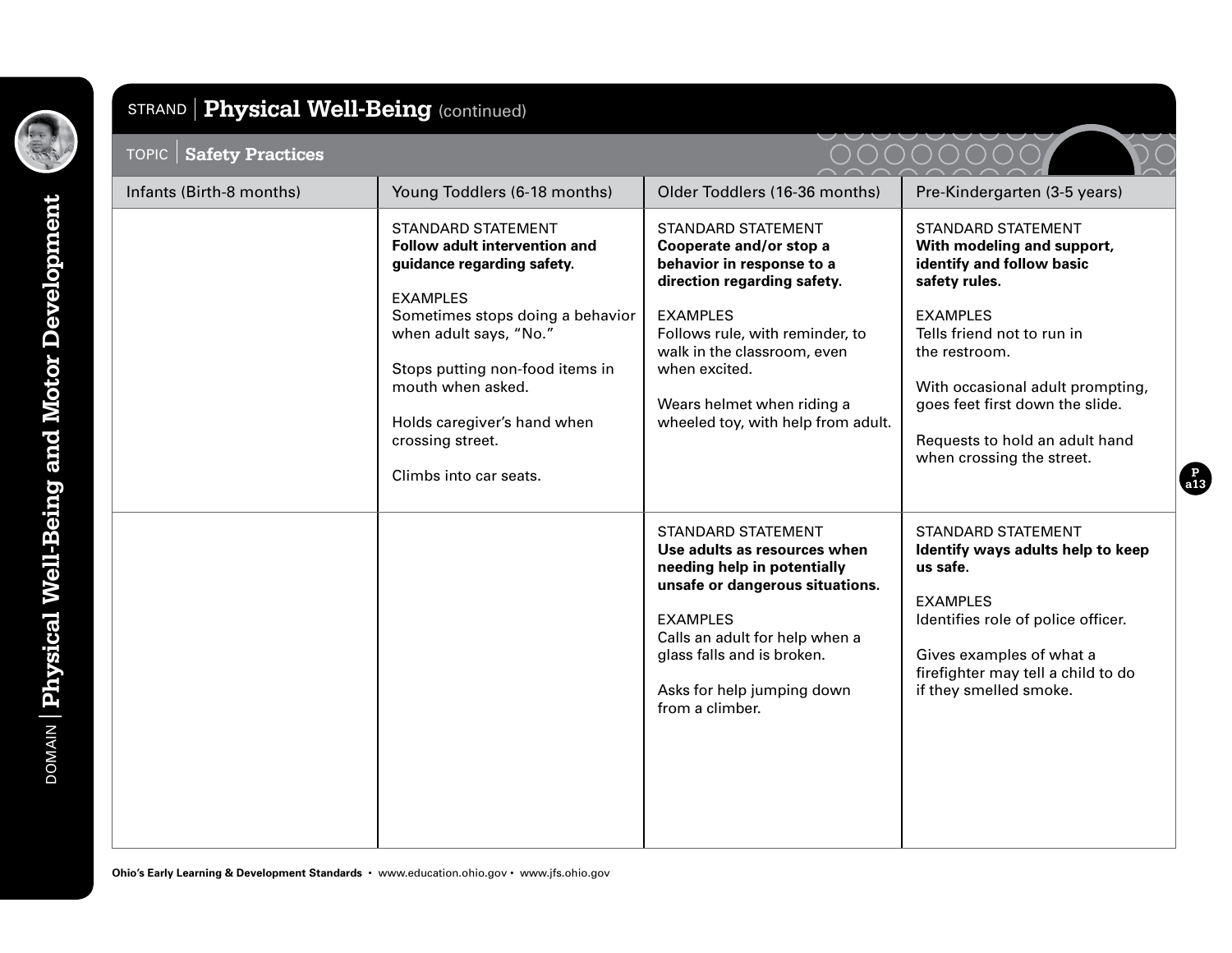

# TOPIC **Safety Practices** STRAND **Physical Well-Being** (continued)

| Infants (Birth-8 months) | Young Toddlers (6-18 months)                                                                                                                                                                                                                                                                                   | Older Toddlers (16-36 months)                                                                                                                                                                                                                                                              | Pre-Kindergarten (3-5 years)                                                                                                                                                                                                                                                                                  |
|--------------------------|----------------------------------------------------------------------------------------------------------------------------------------------------------------------------------------------------------------------------------------------------------------------------------------------------------------|--------------------------------------------------------------------------------------------------------------------------------------------------------------------------------------------------------------------------------------------------------------------------------------------|---------------------------------------------------------------------------------------------------------------------------------------------------------------------------------------------------------------------------------------------------------------------------------------------------------------|
|                          | <b>STANDARD STATEMENT</b><br>Follow adult intervention and<br>guidance regarding safety.<br><b>EXAMPLES</b><br>Sometimes stops doing a behavior<br>when adult says, "No."<br>Stops putting non-food items in<br>mouth when asked.<br>Holds caregiver's hand when<br>crossing street.<br>Climbs into car seats. | <b>STANDARD STATEMENT</b><br>Cooperate and/or stop a<br>behavior in response to a<br>direction regarding safety.<br><b>EXAMPLES</b><br>Follows rule, with reminder, to<br>walk in the classroom, even<br>when excited.<br>Wears helmet when riding a<br>wheeled toy, with help from adult. | <b>STANDARD STATEMENT</b><br>With modeling and support,<br>identify and follow basic<br>safety rules.<br><b>EXAMPLES</b><br>Tells friend not to run in<br>the restroom.<br>With occasional adult prompting,<br>goes feet first down the slide.<br>Requests to hold an adult hand<br>when crossing the street. |
|                          |                                                                                                                                                                                                                                                                                                                | <b>STANDARD STATEMENT</b><br>Use adults as resources when<br>needing help in potentially<br>unsafe or dangerous situations.<br><b>EXAMPLES</b><br>Calls an adult for help when a<br>glass falls and is broken.<br>Asks for help jumping down<br>from a climber.                            | <b>STANDARD STATEMENT</b><br>Identify ways adults help to keep<br>us safe.<br><b>EXAMPLES</b><br>Identifies role of police officer.<br>Gives examples of what a<br>firefighter may tell a child to do<br>if they smelled smoke.                                                                               |

**P a13**

 $\sum$ 

00000000